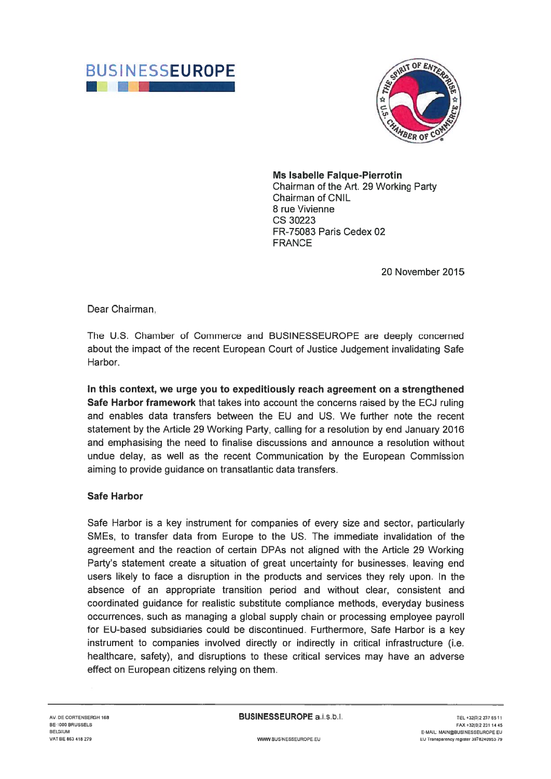



Ms Isabelle Faique-Pierrotin

Chairman of the Art. 29 Working Party Chairman of CNIL 8 rue Vivienne CS 30223 FR-75083 Paris Cedex 02 **FRANCE** 

20 November 2015

Dear Chairman,

The U.S. Chamber of Commerce and BUSINESSEUROPE are deeply concerned about the impact of the recent European Court of Justice Judgement invalidating Safe Harbor.

In this context, we urge you to expeditiously reach agreement on a strengthened Safe Harbor framework that takes into account the concerns raised by the ECJ ruling and enables data transfers between the EU and US. We further note the recent statement by the Article 29 Working Party, calling for a resolution by end January 2016 and emphasising the need to finalise discussions and announce a resolution without undue delay, as well as the recent Communication by the European Commission aiming to provide guidance on transatlantic data transfers.

## Safe Harbor

Safe Harbor is a key instrument for companies of every size and sector, particularly SMEs, to transfer data from Europe to the US. The immediate invalidation of the agreement and the reaction of certain DPAs not aligned with the Article 29 Working Party's statement create a situation of great uncertainty for businesses, leaving end users likely to face a disruption in the products and services they rely upon. In the absence of an appropriate transition period and without clear, consistent and coordinated guidance for realistic substitute compliance methods, everyday business occurrences, such as managing a global supply chain or processing employee payroll for EU-based subsidiaries could be discontinued. Furthermore, Safe Harbor is a key instrument to companies involved directly or indirectly in critical infrastructure (i.e. healthcare, safety), and disruptions to these critical services may have an adverse effect on European citizens relying on them.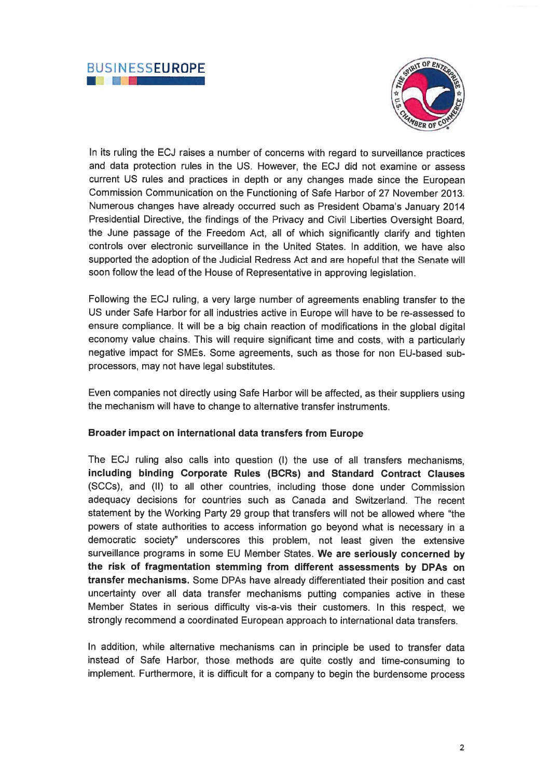



In its ruling the ECJ raises a number of concerns with regard to surveillance practices and data protection rules in the US. However, the ECJ did not examine or assess current US rules and practices in depth or any changes made since the European Commission Communication on the Functioning of Safe Harbor of 27 November 2013. Numerous changes have already occurred such as President Obama's January 2014 Presidential Directive, the findings of the Privacy and Civil Liberties Oversight Board, the June passage of the Freedom Act, all of which significantly clarify and tighten controls over electronic surveillance in the United States. In addition, we have also supported the adoption of the Judicial Redress Act and are hopeful that the Senate will soon follow the lead of the House of Representative in approving legislation.

Following the ECJ ruling, a very large number of agreements enabling transfer to the US under Safe Harbor for all industries active in Europe will have to be re-assessed to ensure compliance. It will be a big chain reaction of modifications in the global digital economy value chains. This will require significant time and costs, with a particularly negative impact for SMEs. Some agreements, such as those for non EU-based subprocessors, may not have legal substitutes.

Even companies not directly using Safe Harbor will be affected, as their suppliers using the mechanism will have to change to alternative transfer instruments.

## Broader impact on international data transfers from Europe

The ECJ ruling also calls into question (I) the use of all transfers mechanisms, including binding Corporate Rules (BCR5) and Standard Contract Clauses (SCC5), and (II) to all other countries, including those done under Commission adequacy decisions for countries such as Canada and Switzerland. The recent statement by the Working Party 29 group that transfers will not be allowed where "the powers of state authorities to access information go beyond what is necessary in a democratic society" underscores this problem, not least given the extensive surveillance programs in some EU Member States. We are seriously concerned by the risk of fragmentation stemming from different assessments by DPAs on transfer mechanisms. Some DPAs have already differentiated their position and cast uncertainty over all data transfer mechanisms putting companies active in these Member States in serious difficulty vis-a-vis their customers. In this respect, we strongly recommend a coordinated European approach to international data transfers.

In addition, while alternative mechanisms can in principle be used to transfer data instead of Safe Harbor, those methods are quite costly and time-consuming to implement. Furthermore, it is difficult for a company to begin the burdensome process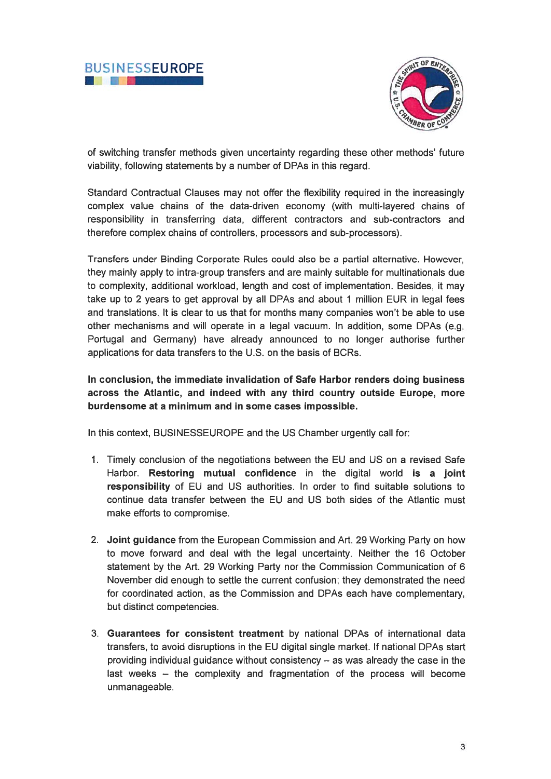



of switching transfer methods given uncertainty regarding these other methods' future viability, following statements by a number of DPAs in this regard.

Standard Contractual Clauses may not offer the flexibility required in the increasingly complex value chains of the data-driven economy (with multi-layered chains of responsibility in transferring data, different contractors and sub-contractors and therefore complex chains of controllers, processors and sub-processors).

Transfers under Binding Corporate Rules could also be a partial alternative. However, they mainly apply to intra-group transfers and are mainly suitable for multinationals due to complexity, additional workload, length and cost of implementation. Besides, it may take up to 2 years to get approval by all DPAs and about <sup>1</sup> million EUR in legal fees and translations. It is clear to us that for months many companies won't be able to use other mechanisms and will operate in a legal vacuum. In addition, some DPAs (e.g. Portugal and Germany) have already announced to no longer authorise further applications for data transfers to the U.S. on the basis of BCRs.

In conclusion, the immediate invalidation of Safe Harbor renders doing business across the Atlantic, and indeed with any third country outside Europe, more burdensome at a minimum and in some cases impossible.

In this context, BUSINESSEUROPE and the US Chamber urgently call for:

- 1. Timely conclusion of the negotiations between the EU and US on a revised Safe Harbor. Restoring mutual confidence in the digital world is a joint responsibility of EU and US authorities. In order to find suitable solutions to continue data transfer between the EU and US both sides of the Atlantic must make efforts to compromise.
- 2. Joint guidance from the European Commission and Art. 29 Working Party on how to move forward and deal with the legal uncertainty. Neither the 16 October statement by the Art. 29 Working Party nor the Commission Communication of 6 November did enough to settle the current confusion; they demonstrated the need for coordinated action, as the Commission and DPAs each have complementary, but distinct competencies.
- 3. Guarantees for consistent treatment by national DPAs of international data transfers, to avoid disruptions in the EU digital single market. If national DPAs start providing individual guidance without consistency — as was already the case in the last weeks — the complexity and fragmentation of the process will become unmanageable.